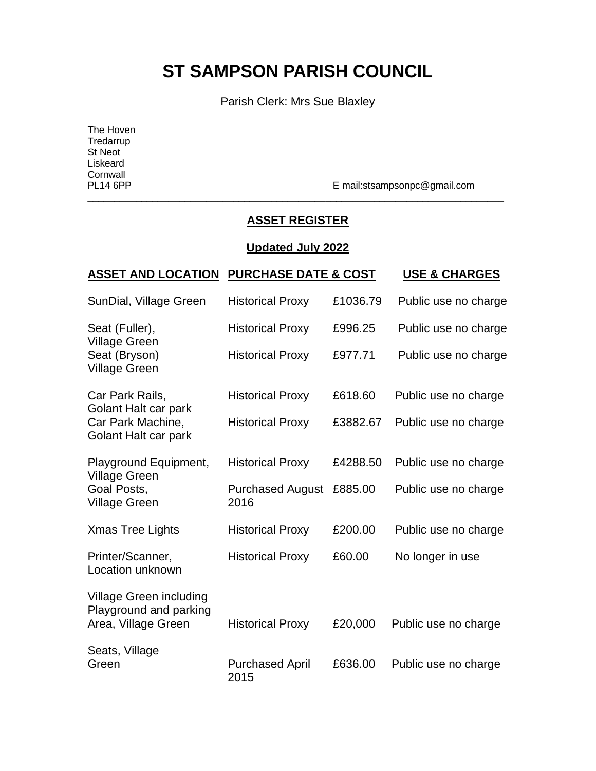# **ST SAMPSON PARISH COUNCIL**

Parish Clerk: Mrs Sue Blaxley

The Hoven **Tredarrup** St Neot Liskeard Cornwall<br>PL14 6PP

E mail:stsampsonpc@gmail.com

### **ASSET REGISTER**

\_\_\_\_\_\_\_\_\_\_\_\_\_\_\_\_\_\_\_\_\_\_\_\_\_\_\_\_\_\_\_\_\_\_\_\_\_\_\_\_\_\_\_\_\_\_\_\_\_\_\_\_\_\_\_\_\_\_\_\_\_\_\_\_\_\_\_\_\_\_\_\_\_\_\_\_\_

#### **Updated July 2022**

| <b>ASSET AND LOCATION PURCHASE DATE &amp; COST</b>                                   |                                 |          | <b>USE &amp; CHARGES</b> |
|--------------------------------------------------------------------------------------|---------------------------------|----------|--------------------------|
| SunDial, Village Green                                                               | <b>Historical Proxy</b>         | £1036.79 | Public use no charge     |
| Seat (Fuller),                                                                       | <b>Historical Proxy</b>         | £996.25  | Public use no charge     |
| <b>Village Green</b><br>Seat (Bryson)<br><b>Village Green</b>                        | <b>Historical Proxy</b>         | £977.71  | Public use no charge     |
| Car Park Rails,<br>Golant Halt car park<br>Car Park Machine,<br>Golant Halt car park | <b>Historical Proxy</b>         | £618.60  | Public use no charge     |
|                                                                                      | <b>Historical Proxy</b>         | £3882.67 | Public use no charge     |
| Playground Equipment,<br><b>Village Green</b><br>Goal Posts,<br><b>Village Green</b> | <b>Historical Proxy</b>         | £4288.50 | Public use no charge     |
|                                                                                      | <b>Purchased August</b><br>2016 | £885.00  | Public use no charge     |
| <b>Xmas Tree Lights</b>                                                              | <b>Historical Proxy</b>         | £200.00  | Public use no charge     |
| Printer/Scanner,<br>Location unknown                                                 | <b>Historical Proxy</b>         | £60.00   | No longer in use         |
| Village Green including<br>Playground and parking<br>Area, Village Green             | <b>Historical Proxy</b>         | £20,000  | Public use no charge     |
|                                                                                      |                                 |          |                          |
| Seats, Village<br>Green                                                              | <b>Purchased April</b><br>2015  | £636.00  | Public use no charge     |